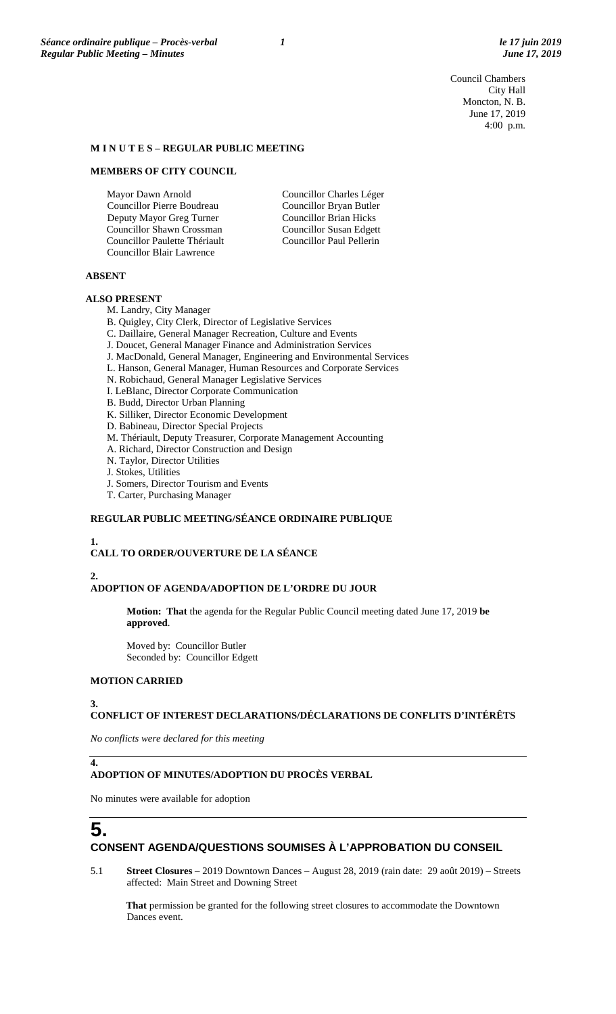Council Chambers City Hall Moncton, N. B. June 17, 2019 4:00 p.m.

#### **M I N U T E S – REGULAR PUBLIC MEETING**

#### **MEMBERS OF CITY COUNCIL**

Mayor Dawn Arnold Councillor Pierre Boudreau Deputy Mayor Greg Turner Councillor Shawn Crossman Councillor Paulette Thériault Councillor Blair Lawrence

Councillor Charles Léger Councillor Bryan Butler Councillor Brian Hicks Councillor Susan Edgett Councillor Paul Pellerin

#### **ABSENT**

#### **ALSO PRESENT**

M. Landry, City Manager

B. Quigley, City Clerk, Director of Legislative Services

- C. Daillaire, General Manager Recreation, Culture and Events
- J. Doucet, General Manager Finance and Administration Services
- J. MacDonald, General Manager, Engineering and Environmental Services
- L. Hanson, General Manager, Human Resources and Corporate Services
- N. Robichaud, General Manager Legislative Services
- I. LeBlanc, Director Corporate Communication
- B. Budd, Director Urban Planning
- K. Silliker, Director Economic Development
- D. Babineau, Director Special Projects
- M. Thériault, Deputy Treasurer, Corporate Management Accounting
- A. Richard, Director Construction and Design
- N. Taylor, Director Utilities
- J. Stokes, Utilities
- J. Somers, Director Tourism and Events
- T. Carter, Purchasing Manager

#### **REGULAR PUBLIC MEETING/SÉANCE ORDINAIRE PUBLIQUE**

#### **1.**

# **CALL TO ORDER/OUVERTURE DE LA SÉANCE**

#### **2. ADOPTION OF AGENDA/ADOPTION DE L'ORDRE DU JOUR**

**Motion: That** the agenda for the Regular Public Council meeting dated June 17, 2019 **be approved**.

Moved by: Councillor Butler Seconded by: Councillor Edgett

### **MOTION CARRIED**

#### **3.**

# **CONFLICT OF INTEREST DECLARATIONS/DÉCLARATIONS DE CONFLITS D'INTÉRÊTS**

*No conflicts were declared for this meeting*

# **4.**

## **ADOPTION OF MINUTES/ADOPTION DU PROCÈS VERBAL**

No minutes were available for adoption

# **5. CONSENT AGENDA/QUESTIONS SOUMISES À L'APPROBATION DU CONSEIL**

5.1 **Street Closures** – 2019 Downtown Dances – August 28, 2019 (rain date: 29 août 2019) – Streets affected: Main Street and Downing Street

**That** permission be granted for the following street closures to accommodate the Downtown Dances event.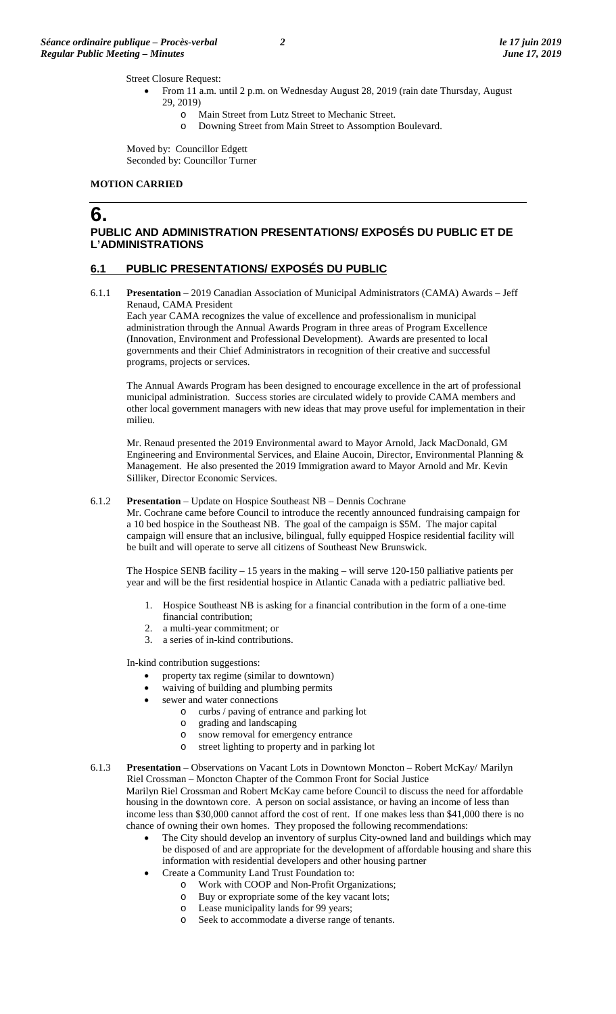Street Closure Request:

- From 11 a.m. until 2 p.m. on Wednesday August 28, 2019 (rain date Thursday, August 29, 2019)
	- o Main Street from Lutz Street to Mechanic Street.
	- o Downing Street from Main Street to Assomption Boulevard.

Moved by: Councillor Edgett Seconded by: Councillor Turner

#### **MOTION CARRIED**

# **6.**

# **PUBLIC AND ADMINISTRATION PRESENTATIONS/ EXPOSÉS DU PUBLIC ET DE L'ADMINISTRATIONS**

# **6.1 PUBLIC PRESENTATIONS/ EXPOSÉS DU PUBLIC**

6.1.1 **Presentation** – 2019 Canadian Association of Municipal Administrators (CAMA) Awards – Jeff Renaud, CAMA President

Each year CAMA recognizes the value of excellence and professionalism in municipal administration through the Annual Awards Program in three areas of Program Excellence (Innovation, Environment and Professional Development). Awards are presented to local governments and their Chief Administrators in recognition of their creative and successful programs, projects or services.

The Annual Awards Program has been designed to encourage excellence in the art of professional municipal administration. Success stories are circulated widely to provide CAMA members and other local government managers with new ideas that may prove useful for implementation in their milieu.

Mr. Renaud presented the 2019 Environmental award to Mayor Arnold, Jack MacDonald, GM Engineering and Environmental Services, and Elaine Aucoin, Director, Environmental Planning & Management. He also presented the 2019 Immigration award to Mayor Arnold and Mr. Kevin Silliker, Director Economic Services.

#### 6.1.2 **Presentation** – Update on Hospice Southeast NB – Dennis Cochrane

Mr. Cochrane came before Council to introduce the recently announced fundraising campaign for a 10 bed hospice in the Southeast NB. The goal of the campaign is \$5M. The major capital campaign will ensure that an inclusive, bilingual, fully equipped Hospice residential facility will be built and will operate to serve all citizens of Southeast New Brunswick.

The Hospice SENB facility – 15 years in the making – will serve 120-150 palliative patients per year and will be the first residential hospice in Atlantic Canada with a pediatric palliative bed.

- 1. Hospice Southeast NB is asking for a financial contribution in the form of a one-time financial contribution;
- 2. a multi-year commitment; or
- 3. a series of in-kind contributions.

In-kind contribution suggestions:

- property tax regime (similar to downtown)
- waiving of building and plumbing permits
	- sewer and water connections
		- $\circ$  curbs / paving of entrance and parking lot  $\circ$  grading and landscaping
			- o grading and landscaping
			- o snow removal for emergency entrance<br>
			o street lighting to property and in parking
			- street lighting to property and in parking lot

#### 6.1.3 **Presentation** – Observations on Vacant Lots in Downtown Moncton – Robert McKay/ Marilyn Riel Crossman – Moncton Chapter of the Common Front for Social Justice Marilyn Riel Crossman and Robert McKay came before Council to discuss the need for affordable housing in the downtown core. A person on social assistance, or having an income of less than income less than \$30,000 cannot afford the cost of rent. If one makes less than \$41,000 there is no chance of owning their own homes. They proposed the following recommendations:

- The City should develop an inventory of surplus City-owned land and buildings which may be disposed of and are appropriate for the development of affordable housing and share this information with residential developers and other housing partner
- Create a Community Land Trust Foundation to:
	- o Work with COOP and Non-Profit Organizations;
	- o Buy or expropriate some of the key vacant lots;
	- o Lease municipality lands for 99 years;<br>
	o Seek to accommodate a diverse range Seek to accommodate a diverse range of tenants.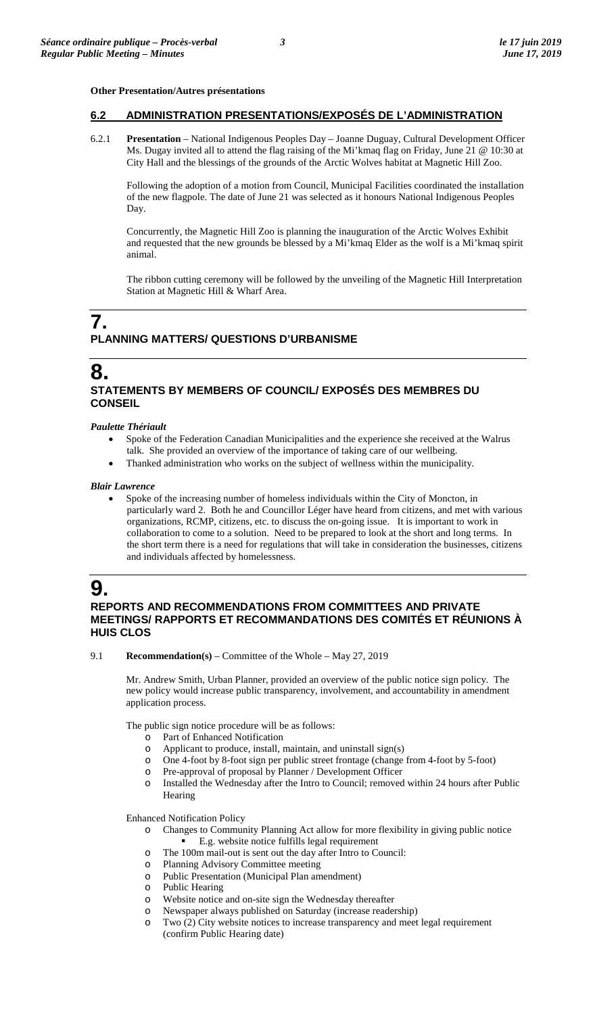#### **Other Presentation/Autres présentations**

# **6.2 ADMINISTRATION PRESENTATIONS/EXPOSÉS DE L'ADMINISTRATION**

6.2.1 **Presentation** – National Indigenous Peoples Day – Joanne Duguay, Cultural Development Officer Ms. Dugay invited all to attend the flag raising of the Mi'kmaq flag on Friday, June 21 @ 10:30 at City Hall and the blessings of the grounds of the Arctic Wolves habitat at Magnetic Hill Zoo.

Following the adoption of a motion from Council, Municipal Facilities coordinated the installation of the new flagpole. The date of June 21 was selected as it honours National Indigenous Peoples Day.

Concurrently, the Magnetic Hill Zoo is planning the inauguration of the Arctic Wolves Exhibit and requested that the new grounds be blessed by a Mi'kmaq Elder as the wolf is a Mi'kmaq spirit animal.

The ribbon cutting ceremony will be followed by the unveiling of the Magnetic Hill Interpretation Station at Magnetic Hill & Wharf Area.

# **7. PLANNING MATTERS/ QUESTIONS D'URBANISME**

# **8. STATEMENTS BY MEMBERS OF COUNCIL/ EXPOSÉS DES MEMBRES DU CONSEIL**

#### *Paulette Thériault*

- Spoke of the Federation Canadian Municipalities and the experience she received at the Walrus talk. She provided an overview of the importance of taking care of our wellbeing.
- Thanked administration who works on the subject of wellness within the municipality.

#### *Blair Lawrence*

• Spoke of the increasing number of homeless individuals within the City of Moncton, in particularly ward 2. Both he and Councillor Léger have heard from citizens, and met with various organizations, RCMP, citizens, etc. to discuss the on-going issue. It is important to work in collaboration to come to a solution. Need to be prepared to look at the short and long terms. In the short term there is a need for regulations that will take in consideration the businesses, citizens and individuals affected by homelessness.



# **REPORTS AND RECOMMENDATIONS FROM COMMITTEES AND PRIVATE MEETINGS/ RAPPORTS ET RECOMMANDATIONS DES COMITÉS ET RÉUNIONS À HUIS CLOS**

9.1 **Recommendation(s)** – Committee of the Whole – May 27, 2019

Mr. Andrew Smith, Urban Planner, provided an overview of the public notice sign policy. The new policy would increase public transparency, involvement, and accountability in amendment application process.

The public sign notice procedure will be as follows:

- o Part of Enhanced Notification
- o Applicant to produce, install, maintain, and uninstall sign(s)  $\circ$  One 4-foot by 8-foot sign per public street frontage (change
- One 4-foot by 8-foot sign per public street frontage (change from 4-foot by 5-foot)
- o Pre-approval of proposal by Planner / Development Officer
- Installed the Wednesday after the Intro to Council; removed within 24 hours after Public Hearing

Enhanced Notification Policy

- o Changes to Community Planning Act allow for more flexibility in giving public notice E.g. website notice fulfills legal requirement
- o The 100m mail-out is sent out the day after Intro to Council:
- Planning Advisory Committee meeting
- o Public Presentation (Municipal Plan amendment)
- o Public Hearing
- Website notice and on-site sign the Wednesday thereafter
- o Newspaper always published on Saturday (increase readership)
- o Two (2) City website notices to increase transparency and meet legal requirement (confirm Public Hearing date)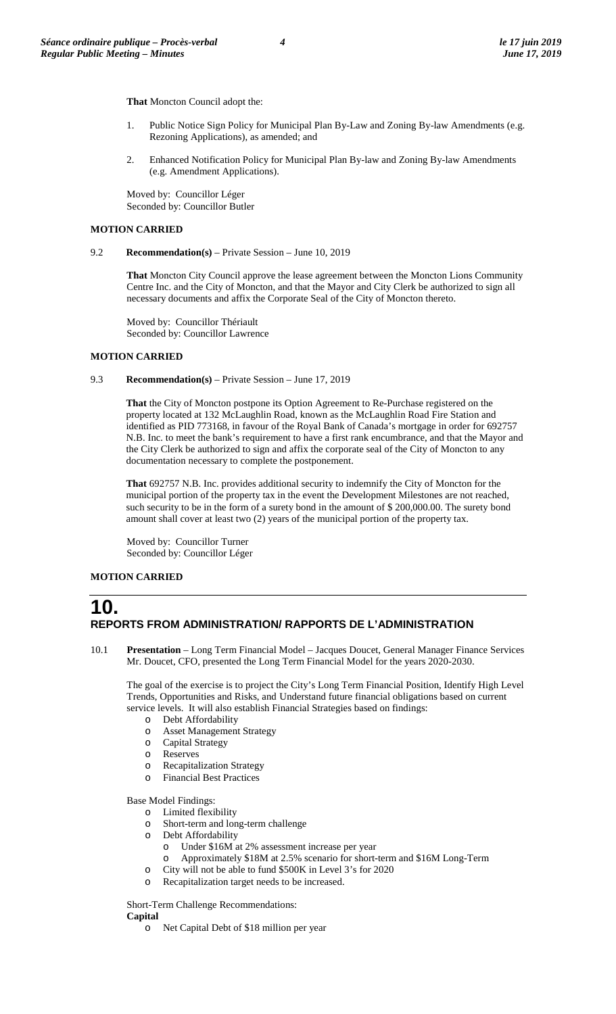**That** Moncton Council adopt the:

- Public Notice Sign Policy for Municipal Plan By-Law and Zoning By-law Amendments (e.g. Rezoning Applications), as amended; and
- 2. Enhanced Notification Policy for Municipal Plan By-law and Zoning By-law Amendments (e.g. Amendment Applications).

Moved by: Councillor Léger Seconded by: Councillor Butler

#### **MOTION CARRIED**

9.2 **Recommendation(s)** – Private Session – June 10, 2019

**That** Moncton City Council approve the lease agreement between the Moncton Lions Community Centre Inc. and the City of Moncton, and that the Mayor and City Clerk be authorized to sign all necessary documents and affix the Corporate Seal of the City of Moncton thereto.

Moved by: Councillor Thériault Seconded by: Councillor Lawrence

## **MOTION CARRIED**

#### 9.3 **Recommendation(s)** – Private Session – June 17, 2019

**That** the City of Moncton postpone its Option Agreement to Re-Purchase registered on the property located at 132 McLaughlin Road, known as the McLaughlin Road Fire Station and identified as PID 773168, in favour of the Royal Bank of Canada's mortgage in order for 692757 N.B. Inc. to meet the bank's requirement to have a first rank encumbrance, and that the Mayor and the City Clerk be authorized to sign and affix the corporate seal of the City of Moncton to any documentation necessary to complete the postponement.

**That** 692757 N.B. Inc. provides additional security to indemnify the City of Moncton for the municipal portion of the property tax in the event the Development Milestones are not reached, such security to be in the form of a surety bond in the amount of \$200,000.00. The surety bond amount shall cover at least two (2) years of the municipal portion of the property tax.

Moved by: Councillor Turner Seconded by: Councillor Léger

## **MOTION CARRIED**

# **10. REPORTS FROM ADMINISTRATION/ RAPPORTS DE L'ADMINISTRATION**

10.1 **Presentation** – Long Term Financial Model – Jacques Doucet, General Manager Finance Services Mr. Doucet, CFO, presented the Long Term Financial Model for the years 2020-2030.

The goal of the exercise is to project the City's Long Term Financial Position, Identify High Level Trends, Opportunities and Risks, and Understand future financial obligations based on current service levels. It will also establish Financial Strategies based on findings:

- o Debt Affordability
- o Asset Management Strategy
- o Capital Strategy
- o Reserves
- o Recapitalization Strategy
- o Financial Best Practices

Base Model Findings:

- $\circ$  Limited flexibility<br> $\circ$  Short-term and lon
- Short-term and long-term challenge
- o Debt Affordability
	- o Under \$16M at 2% assessment increase per year
	- Approximately \$18M at 2.5% scenario for short-term and \$16M Long-Term
- o City will not be able to fund \$500K in Level 3's for 2020
- Recapitalization target needs to be increased.

Short-Term Challenge Recommendations: **Capital**

o Net Capital Debt of \$18 million per year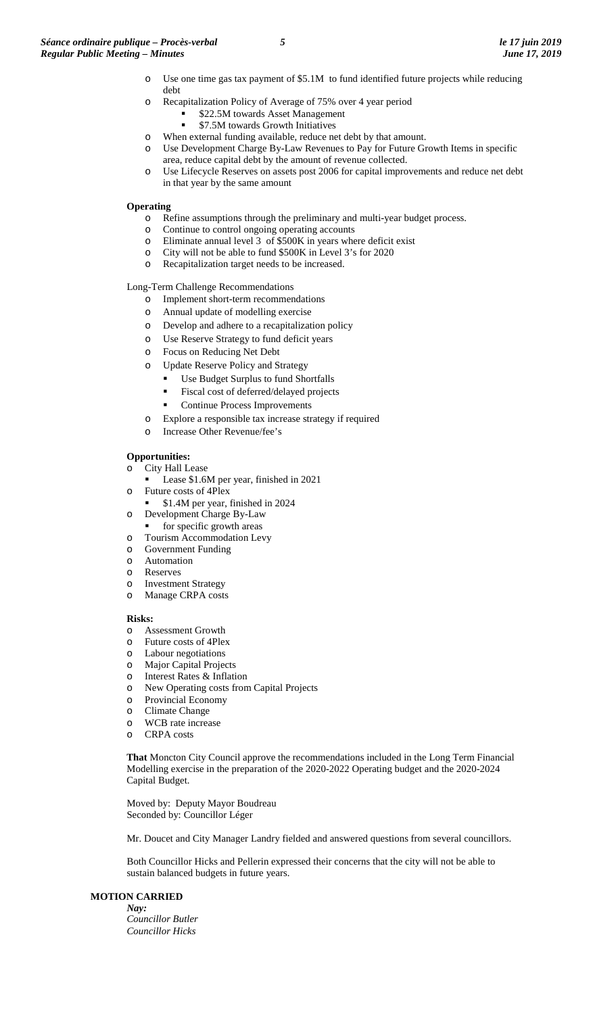- o Use one time gas tax payment of \$5.1M to fund identified future projects while reducing debt
- o Recapitalization Policy of Average of 75% over 4 year period
	- $\frac{$22.5M}{7.5M}$  towards Asset Management
		- \$7.5M towards Growth Initiatives
- o When external funding available, reduce net debt by that amount.
- o Use Development Charge By-Law Revenues to Pay for Future Growth Items in specific area, reduce capital debt by the amount of revenue collected.
- o Use Lifecycle Reserves on assets post 2006 for capital improvements and reduce net debt in that year by the same amount

#### **Operating**

- o Refine assumptions through the preliminary and multi-year budget process.<br>  $\circ$  Continue to control ongoing operating accounts
- Continue to control ongoing operating accounts
- $\circ$  Eliminate annual level 3 of \$500K in years where deficit exist
- o City will not be able to fund \$500K in Level 3's for 2020
- o Recapitalization target needs to be increased.

Long-Term Challenge Recommendations

- o Implement short-term recommendations
- o Annual update of modelling exercise
- o Develop and adhere to a recapitalization policy
- o Use Reserve Strategy to fund deficit years
- o Focus on Reducing Net Debt
- o Update Reserve Policy and Strategy
	- Use Budget Surplus to fund Shortfalls
	- Fiscal cost of deferred/delayed projects
	- Continue Process Improvements
- o Explore a responsible tax increase strategy if required
- o Increase Other Revenue/fee's

#### **Opportunities:**

- o City Hall Lease
	- Lease \$1.6M per year, finished in 2021
- o Future costs of 4Plex
- \$1.4M per year, finished in 2024
- o Development Charge By-Law
- for specific growth areas
- o Tourism Accommodation Levy
- o Government Funding
- o Automation<br>  $\circ$  Reserves
- o Reserves **Investment Strategy**
- o Manage CRPA costs

#### **Risks:**

- o Assessment Growth
- o Future costs of 4Plex
- o Labour negotiations
- Major Capital Projects
- o Interest Rates & Inflation
- New Operating costs from Capital Projects
- o Provincial Economy
- o Climate Change
- WCB rate increase
- o CRPA costs

**That** Moncton City Council approve the recommendations included in the Long Term Financial Modelling exercise in the preparation of the 2020-2022 Operating budget and the 2020-2024 Capital Budget.

Moved by: Deputy Mayor Boudreau Seconded by: Councillor Léger

Mr. Doucet and City Manager Landry fielded and answered questions from several councillors.

Both Councillor Hicks and Pellerin expressed their concerns that the city will not be able to sustain balanced budgets in future years.

## **MOTION CARRIED**

*Nay: Councillor Butler Councillor Hicks*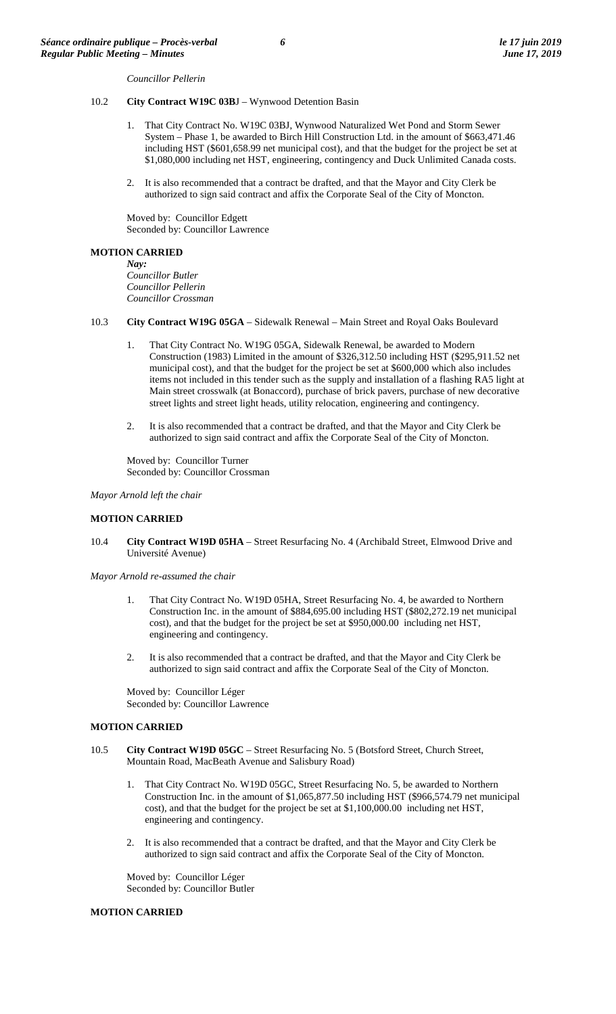*Councillor Pellerin*

#### 10.2 **City Contract W19C 03B**J – Wynwood Detention Basin

- 1. That City Contract No. W19C 03BJ, Wynwood Naturalized Wet Pond and Storm Sewer System – Phase 1, be awarded to Birch Hill Construction Ltd. in the amount of \$663,471.46 including HST (\$601,658.99 net municipal cost), and that the budget for the project be set at \$1,080,000 including net HST, engineering, contingency and Duck Unlimited Canada costs.
- 2. It is also recommended that a contract be drafted, and that the Mayor and City Clerk be authorized to sign said contract and affix the Corporate Seal of the City of Moncton.

Moved by: Councillor Edgett Seconded by: Councillor Lawrence

#### **MOTION CARRIED**

*Nay: Councillor Butler Councillor Pellerin Councillor Crossman*

- 10.3 **City Contract W19G 05GA** Sidewalk Renewal Main Street and Royal Oaks Boulevard
	- 1. That City Contract No. W19G 05GA, Sidewalk Renewal, be awarded to Modern Construction (1983) Limited in the amount of \$326,312.50 including HST (\$295,911.52 net municipal cost), and that the budget for the project be set at \$600,000 which also includes items not included in this tender such as the supply and installation of a flashing RA5 light at Main street crosswalk (at Bonaccord), purchase of brick pavers, purchase of new decorative street lights and street light heads, utility relocation, engineering and contingency.
	- 2. It is also recommended that a contract be drafted, and that the Mayor and City Clerk be authorized to sign said contract and affix the Corporate Seal of the City of Moncton.

Moved by: Councillor Turner Seconded by: Councillor Crossman

*Mayor Arnold left the chair*

#### **MOTION CARRIED**

10.4 **City Contract W19D 05HA** – Street Resurfacing No. 4 (Archibald Street, Elmwood Drive and Université Avenue)

*Mayor Arnold re-assumed the chair*

- 1. That City Contract No. W19D 05HA, Street Resurfacing No. 4, be awarded to Northern Construction Inc. in the amount of \$884,695.00 including HST (\$802,272.19 net municipal cost), and that the budget for the project be set at \$950,000.00 including net HST, engineering and contingency.
- 2. It is also recommended that a contract be drafted, and that the Mayor and City Clerk be authorized to sign said contract and affix the Corporate Seal of the City of Moncton.

Moved by: Councillor Léger Seconded by: Councillor Lawrence

#### **MOTION CARRIED**

- 10.5 **City Contract W19D 05GC** Street Resurfacing No. 5 (Botsford Street, Church Street, Mountain Road, MacBeath Avenue and Salisbury Road)
	- 1. That City Contract No. W19D 05GC, Street Resurfacing No. 5, be awarded to Northern Construction Inc. in the amount of \$1,065,877.50 including HST (\$966,574.79 net municipal cost), and that the budget for the project be set at \$1,100,000.00 including net HST, engineering and contingency.
	- 2. It is also recommended that a contract be drafted, and that the Mayor and City Clerk be authorized to sign said contract and affix the Corporate Seal of the City of Moncton.

Moved by: Councillor Léger Seconded by: Councillor Butler

## **MOTION CARRIED**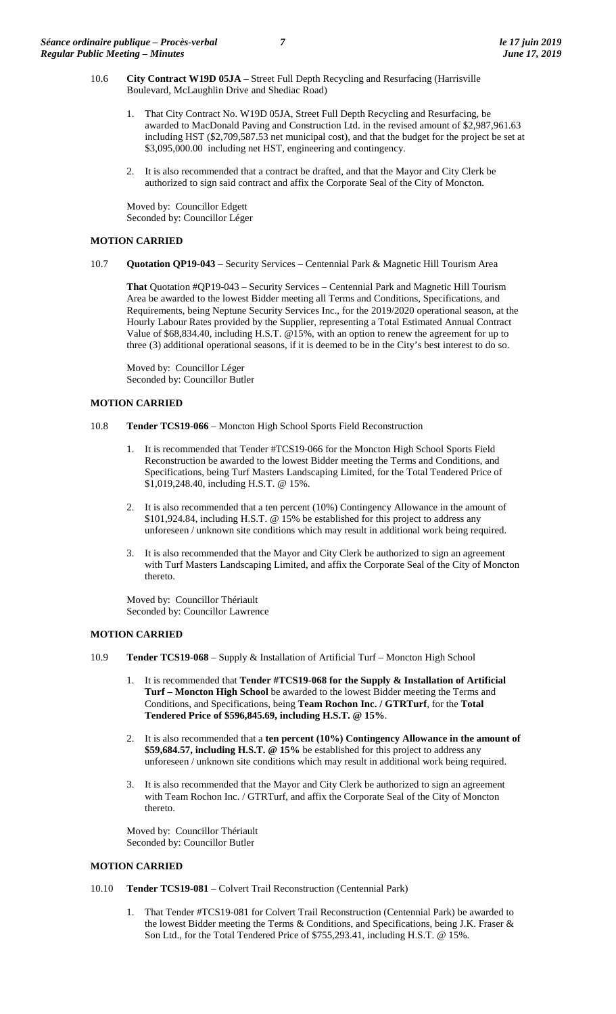- 10.6 **City Contract W19D 05JA** Street Full Depth Recycling and Resurfacing (Harrisville Boulevard, McLaughlin Drive and Shediac Road)
	- 1. That City Contract No. W19D 05JA, Street Full Depth Recycling and Resurfacing, be awarded to MacDonald Paving and Construction Ltd. in the revised amount of \$2,987,961.63 including HST (\$2,709,587.53 net municipal cost), and that the budget for the project be set at \$3,095,000.00 including net HST, engineering and contingency.
	- 2. It is also recommended that a contract be drafted, and that the Mayor and City Clerk be authorized to sign said contract and affix the Corporate Seal of the City of Moncton.

Moved by: Councillor Edgett Seconded by: Councillor Léger

#### **MOTION CARRIED**

10.7 **Quotation QP19-043** – Security Services – Centennial Park & Magnetic Hill Tourism Area

**That** Quotation #QP19-043 – Security Services – Centennial Park and Magnetic Hill Tourism Area be awarded to the lowest Bidder meeting all Terms and Conditions, Specifications, and Requirements, being Neptune Security Services Inc., for the 2019/2020 operational season, at the Hourly Labour Rates provided by the Supplier, representing a Total Estimated Annual Contract Value of \$68,834.40, including H.S.T. @15%, with an option to renew the agreement for up to three (3) additional operational seasons, if it is deemed to be in the City's best interest to do so.

Moved by: Councillor Léger Seconded by: Councillor Butler

### **MOTION CARRIED**

- 10.8 **Tender TCS19-066**  Moncton High School Sports Field Reconstruction
	- 1. It is recommended that Tender #TCS19-066 for the Moncton High School Sports Field Reconstruction be awarded to the lowest Bidder meeting the Terms and Conditions, and Specifications, being Turf Masters Landscaping Limited, for the Total Tendered Price of \$1,019,248.40, including H.S.T. @ 15%.
	- 2. It is also recommended that a ten percent (10%) Contingency Allowance in the amount of \$101,924.84, including H.S.T. @ 15% be established for this project to address any unforeseen / unknown site conditions which may result in additional work being required.
	- 3. It is also recommended that the Mayor and City Clerk be authorized to sign an agreement with Turf Masters Landscaping Limited, and affix the Corporate Seal of the City of Moncton thereto.

Moved by: Councillor Thériault Seconded by: Councillor Lawrence

## **MOTION CARRIED**

- 10.9 **Tender TCS19-068**  Supply & Installation of Artificial Turf Moncton High School
	- 1. It is recommended that **Tender #TCS19-068 for the Supply & Installation of Artificial Turf – Moncton High School** be awarded to the lowest Bidder meeting the Terms and Conditions, and Specifications, being **Team Rochon Inc. / GTRTurf**, for the **Total Tendered Price of \$596,845.69, including H.S.T. @ 15%**.
	- 2. It is also recommended that a **ten percent (10%) Contingency Allowance in the amount of \$59,684.57, including H.S.T. @ 15%** be established for this project to address any unforeseen / unknown site conditions which may result in additional work being required.
	- 3. It is also recommended that the Mayor and City Clerk be authorized to sign an agreement with Team Rochon Inc. / GTRTurf, and affix the Corporate Seal of the City of Moncton thereto.

Moved by: Councillor Thériault Seconded by: Councillor Butler

#### **MOTION CARRIED**

#### 10.10 **Tender TCS19-081** – Colvert Trail Reconstruction (Centennial Park)

1. That Tender #TCS19-081 for Colvert Trail Reconstruction (Centennial Park) be awarded to the lowest Bidder meeting the Terms & Conditions, and Specifications, being J.K. Fraser & Son Ltd., for the Total Tendered Price of \$755,293.41, including H.S.T. @ 15%.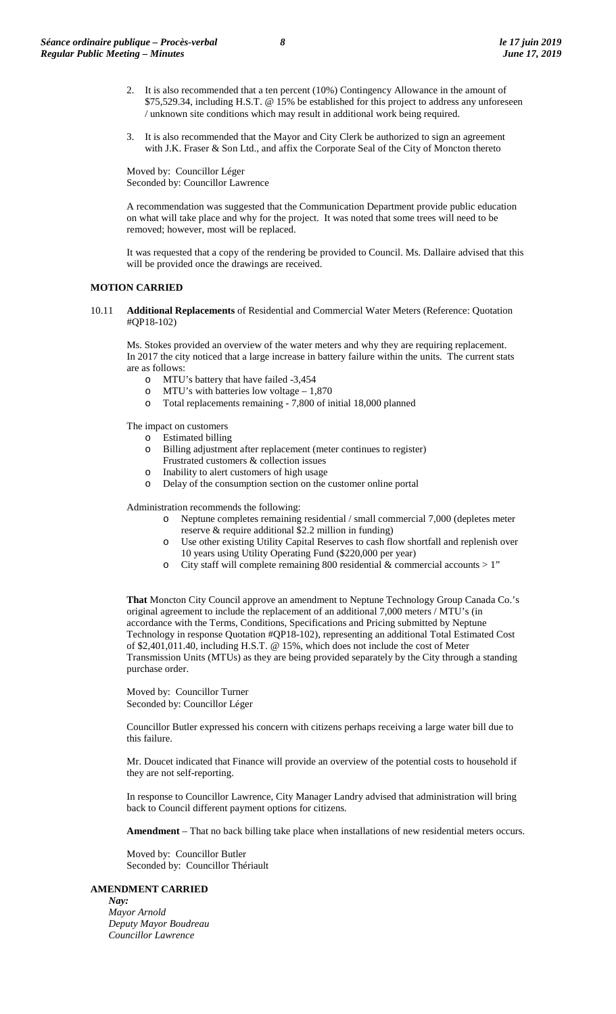- 2. It is also recommended that a ten percent (10%) Contingency Allowance in the amount of \$75,529.34, including H.S.T. @ 15% be established for this project to address any unforeseen / unknown site conditions which may result in additional work being required.
- 3. It is also recommended that the Mayor and City Clerk be authorized to sign an agreement with J.K. Fraser & Son Ltd., and affix the Corporate Seal of the City of Moncton thereto

Moved by: Councillor Léger Seconded by: Councillor Lawrence

A recommendation was suggested that the Communication Department provide public education on what will take place and why for the project. It was noted that some trees will need to be removed; however, most will be replaced.

It was requested that a copy of the rendering be provided to Council. Ms. Dallaire advised that this will be provided once the drawings are received.

### **MOTION CARRIED**

10.11 **Additional Replacements** of Residential and Commercial Water Meters (Reference: Quotation #QP18-102)

Ms. Stokes provided an overview of the water meters and why they are requiring replacement. In 2017 the city noticed that a large increase in battery failure within the units. The current stats are as follows:

- o MTU's battery that have failed -3,454<br>o MTU's with batteries low voltage 1,
- MTU's with batteries low voltage  $-1,870$
- o Total replacements remaining 7,800 of initial 18,000 planned

The impact on customers

- o Estimated billing
- o Billing adjustment after replacement (meter continues to register) Frustrated customers & collection issues
- o Inability to alert customers of high usage
- o Delay of the consumption section on the customer online portal

Administration recommends the following:

- o Neptune completes remaining residential / small commercial 7,000 (depletes meter reserve & require additional \$2.2 million in funding)
- o Use other existing Utility Capital Reserves to cash flow shortfall and replenish over 10 years using Utility Operating Fund (\$220,000 per year)
- o City staff will complete remaining 800 residential & commercial accounts > 1"

**That** Moncton City Council approve an amendment to Neptune Technology Group Canada Co.'s original agreement to include the replacement of an additional 7,000 meters / MTU's (in accordance with the Terms, Conditions, Specifications and Pricing submitted by Neptune Technology in response Quotation #QP18-102), representing an additional Total Estimated Cost of \$2,401,011.40, including H.S.T. @ 15%, which does not include the cost of Meter Transmission Units (MTUs) as they are being provided separately by the City through a standing purchase order.

Moved by: Councillor Turner Seconded by: Councillor Léger

Councillor Butler expressed his concern with citizens perhaps receiving a large water bill due to this failure.

Mr. Doucet indicated that Finance will provide an overview of the potential costs to household if they are not self-reporting.

In response to Councillor Lawrence, City Manager Landry advised that administration will bring back to Council different payment options for citizens.

**Amendment** – That no back billing take place when installations of new residential meters occurs.

Moved by: Councillor Butler Seconded by: Councillor Thériault

#### **AMENDMENT CARRIED**

*Nay: Mayor Arnold Deputy Mayor Boudreau Councillor Lawrence*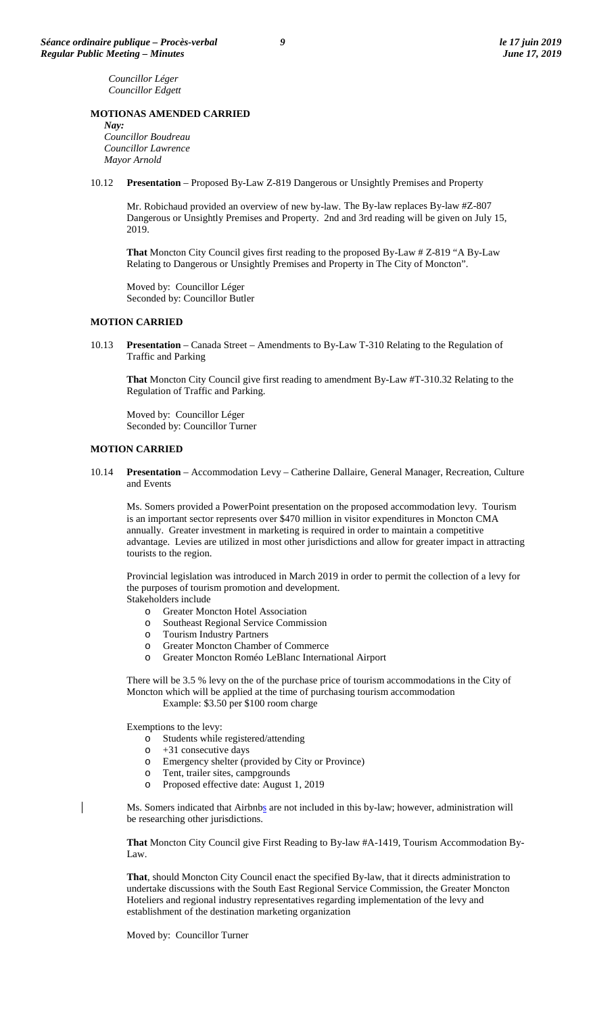*Councillor Léger Councillor Edgett*

#### **MOTIONAS AMENDED CARRIED**

*Nay: Councillor Boudreau Councillor Lawrence Mayor Arnold*

10.12 **Presentation** – Proposed By-Law Z-819 Dangerous or Unsightly Premises and Property

Mr. Robichaud provided an overview of new by-law. The By-law replaces By-law #Z-807 Dangerous or Unsightly Premises and Property. 2nd and 3rd reading will be given on July 15, 2019.

**That** Moncton City Council gives first reading to the proposed By-Law # Z-819 "A By-Law Relating to Dangerous or Unsightly Premises and Property in The City of Moncton".

Moved by: Councillor Léger Seconded by: Councillor Butler

#### **MOTION CARRIED**

10.13 **Presentation** – Canada Street – Amendments to By-Law T-310 Relating to the Regulation of Traffic and Parking

**That** Moncton City Council give first reading to amendment By-Law #T-310.32 Relating to the Regulation of Traffic and Parking.

Moved by: Councillor Léger Seconded by: Councillor Turner

#### **MOTION CARRIED**

10.14 **Presentation** – Accommodation Levy – Catherine Dallaire, General Manager, Recreation, Culture and Events

Ms. Somers provided a PowerPoint presentation on the proposed accommodation levy. Tourism is an important sector represents over \$470 million in visitor expenditures in Moncton CMA annually. Greater investment in marketing is required in order to maintain a competitive advantage. Levies are utilized in most other jurisdictions and allow for greater impact in attracting tourists to the region.

Provincial legislation was introduced in March 2019 in order to permit the collection of a levy for the purposes of tourism promotion and development. Stakeholders include

- o Greater Moncton Hotel Association
- o Southeast Regional Service Commission
- **Tourism Industry Partners**
- o Greater Moncton Chamber of Commerce
- o Greater Moncton Roméo LeBlanc International Airport

There will be 3.5 % levy on the of the purchase price of tourism accommodations in the City of Moncton which will be applied at the time of purchasing tourism accommodation Example: \$3.50 per \$100 room charge

Exemptions to the levy:

 $\overline{\phantom{a}}$ 

- o Students while registered/attending
- $\circ$  +31 consecutive days<br> $\circ$  Emergency shelter (m
- o Emergency shelter (provided by City or Province)
- Tent, trailer sites, campgrounds
- o Proposed effective date: August 1, 2019

Ms. Somers indicated that Airbnbs are not included in this by-law; however, administration will be researching other jurisdictions.

**That** Moncton City Council give First Reading to By-law #A-1419, Tourism Accommodation By-Law.

**That**, should Moncton City Council enact the specified By-law, that it directs administration to undertake discussions with the South East Regional Service Commission, the Greater Moncton Hoteliers and regional industry representatives regarding implementation of the levy and establishment of the destination marketing organization

Moved by: Councillor Turner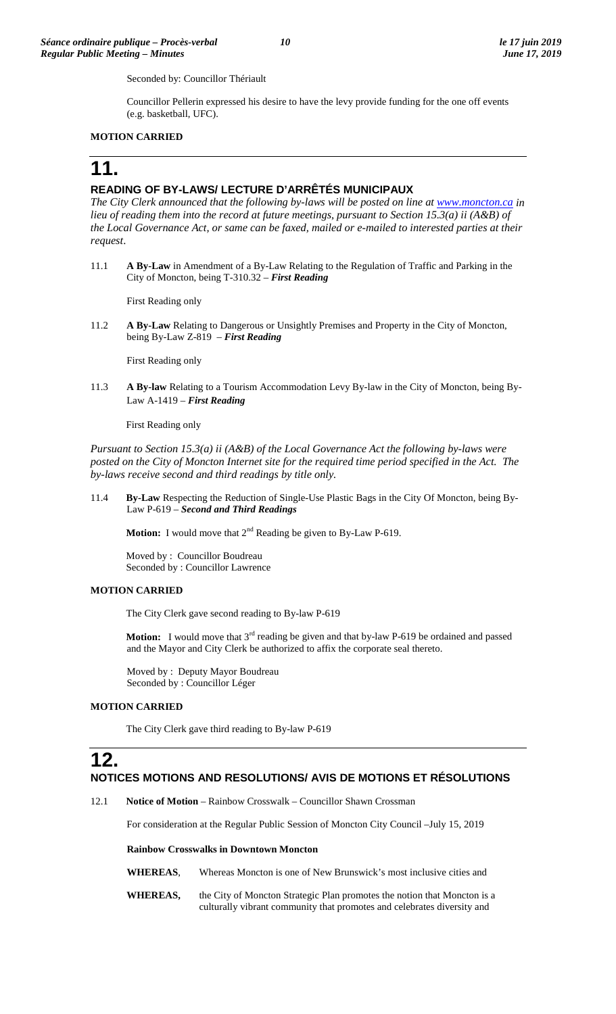Seconded by: Councillor Thériault

Councillor Pellerin expressed his desire to have the levy provide funding for the one off events (e.g. basketball, UFC).

# **MOTION CARRIED**

# **11.**

# **READING OF BY-LAWS/ LECTURE D'ARRÊTÉS MUNICIPAUX**

*The City Clerk announced that the following by-laws will be posted on line at [www.moncton.ca](http://www.moncton.ca/) in lieu of reading them into the record at future meetings, pursuant to Section 15.3(a) ii (A&B) of the Local Governance Act, or same can be faxed, mailed or e-mailed to interested parties at their request*.

11.1 **A By-Law** in Amendment of a By-Law Relating to the Regulation of Traffic and Parking in the City of Moncton, being T-310.32 – *First Reading*

First Reading only

11.2 **A By-Law** Relating to Dangerous or Unsightly Premises and Property in the City of Moncton, being By-Law Z-819 – *First Reading*

First Reading only

11.3 **A By-law** Relating to a Tourism Accommodation Levy By-law in the City of Moncton, being By-Law A-1419 – *First Reading*

#### First Reading only

*Pursuant to Section 15.3(a) ii (A&B) of the Local Governance Act the following by-laws were posted on the City of Moncton Internet site for the required time period specified in the Act. The by-laws receive second and third readings by title only.*

11.4 **By-Law** Respecting the Reduction of Single-Use Plastic Bags in the City Of Moncton, being By-Law P-619 – *Second and Third Readings*

**Motion:** I would move that  $2^{nd}$  Reading be given to By-Law P-619.

Moved by : Councillor Boudreau Seconded by : Councillor Lawrence

#### **MOTION CARRIED**

The City Clerk gave second reading to By-law P-619

**Motion:** I would move that 3<sup>rd</sup> reading be given and that by-law P-619 be ordained and passed and the Mayor and City Clerk be authorized to affix the corporate seal thereto.

Moved by : Deputy Mayor Boudreau Seconded by : Councillor Léger

## **MOTION CARRIED**

The City Clerk gave third reading to By-law P-619

# **12. NOTICES MOTIONS AND RESOLUTIONS/ AVIS DE MOTIONS ET RÉSOLUTIONS**

12.1 **Notice of Motion** – Rainbow Crosswalk – Councillor Shawn Crossman

For consideration at the Regular Public Session of Moncton City Council –July 15, 2019

#### **Rainbow Crosswalks in Downtown Moncton**

**WHEREAS**, Whereas Moncton is one of New Brunswick's most inclusive cities and

**WHEREAS,** the City of Moncton Strategic Plan promotes the notion that Moncton is a culturally vibrant community that promotes and celebrates diversity and